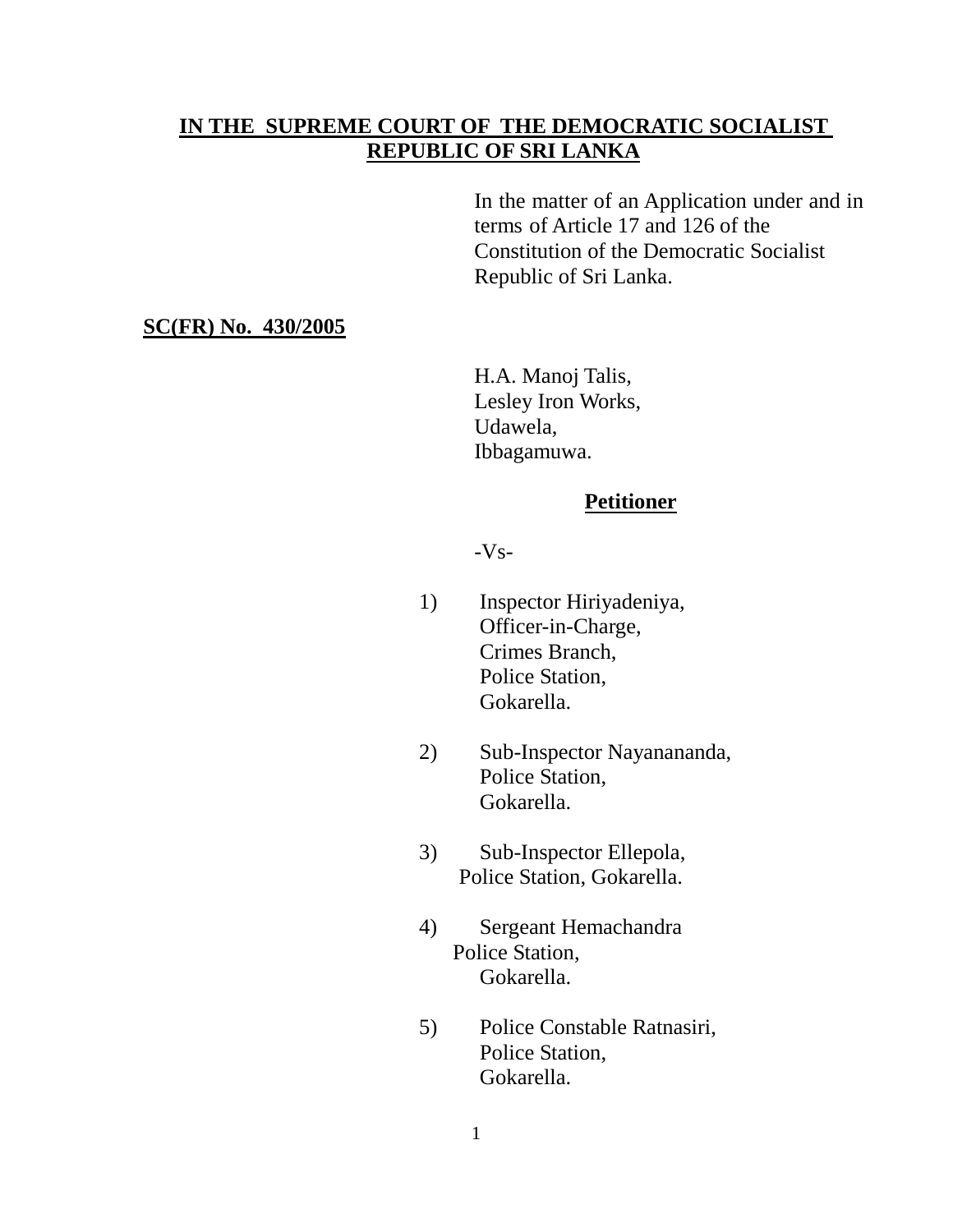# IN THE SUPREME COURT OF THE DEMOCRATIC SOCIALIST **REPUBLIC OF SRI LANKA**

In the matter of an Application under and in terms of Article 17 and 126 of the Constitution of the Democratic Socialist Republic of Sri Lanka.

## **SC(FR) No. 430/2005**

H.A. Manoj Talis, Lesley Iron Works, Udawela, Ibbagamuwa.

### **Petitioner**

 $-Vs-$ 

- 1) Inspector Hiriyadeniya, Officer-in-Charge, Crimes Branch, Police Station, Gokarella.
- 2) Sub-Inspector Nayanananda, Police Station, Gokarella.
- 3) Sub-Inspector Ellepola, Police Station, Gokarella.
- 4) Sergeant Hemachandra Police Station, Gokarella.
- 5) Police Constable Ratnasiri, Police Station, Gokarella.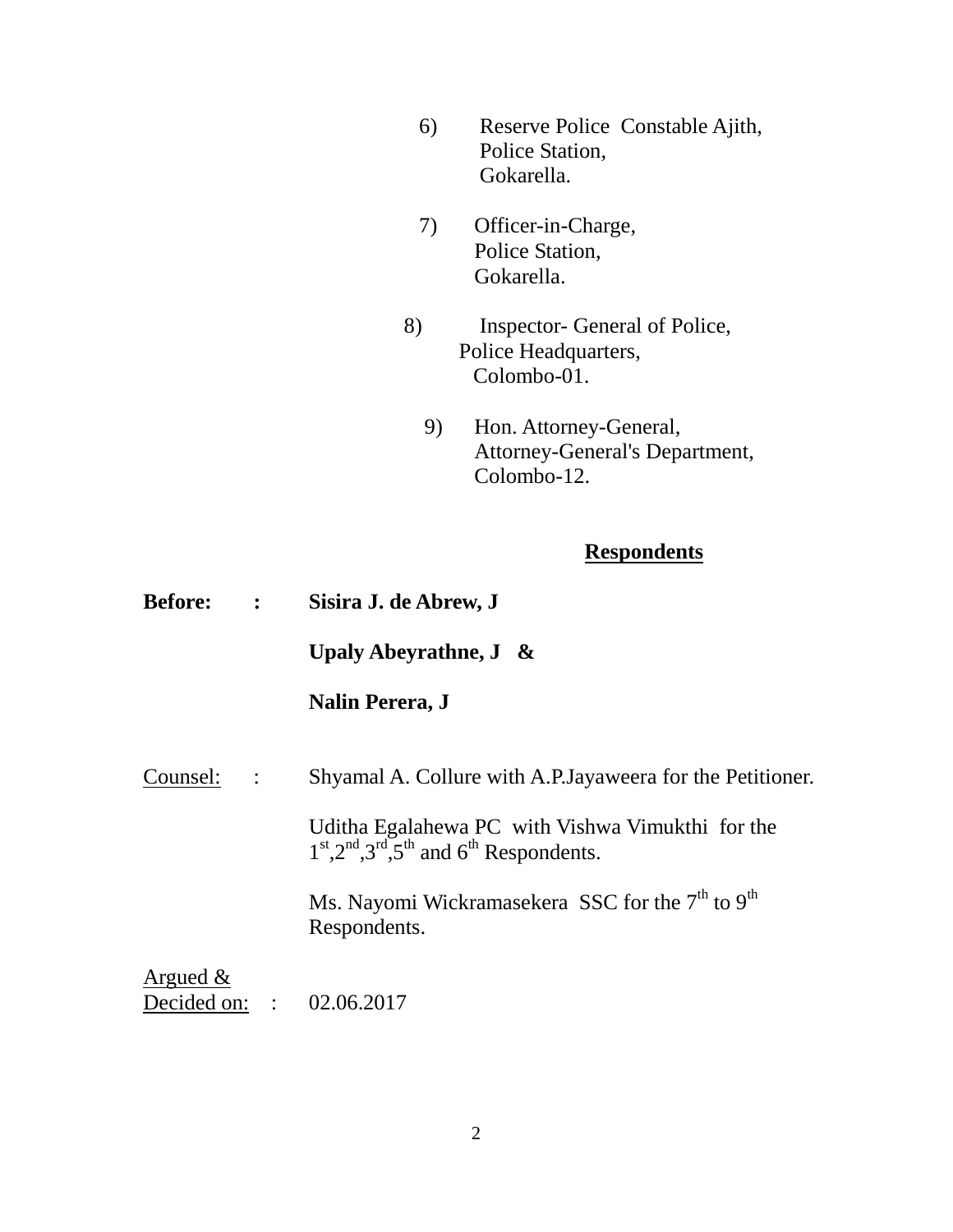- 6) Reserve Police Constable Ajith, Police Station, Gokarella.
- 7) Officer-in-Charge, Police Station, Gokarella.
- 8) Inspector- General of Police, Police Headquarters, Colombo-01.
	- 9) Hon. Attorney-General, Attorney-General's Department, Colombo-12.

# **Respondents**

| <b>Before:</b> : |                      | Sisira J. de Abrew, J                                                                                    |
|------------------|----------------------|----------------------------------------------------------------------------------------------------------|
|                  |                      | Upaly Abeyrathne, $J \&$                                                                                 |
|                  |                      | <b>Nalin Perera, J</b>                                                                                   |
| Counsel:         | $\sim$ $\sim$ $\sim$ | Shyamal A. Collure with A.P. Jayaweera for the Petitioner.                                               |
|                  |                      | Uditha Egalahewa PC with Vishwa Vimukthi for the<br>$1st$ , $2nd$ , $3rd$ , $5th$ and $6th$ Respondents. |
|                  |                      | Ms. Nayomi Wickramasekera SSC for the 7 <sup>th</sup> to 9 <sup>th</sup><br>Respondents.                 |
| Argued $\&$      |                      | Decided on: : 02.06.2017                                                                                 |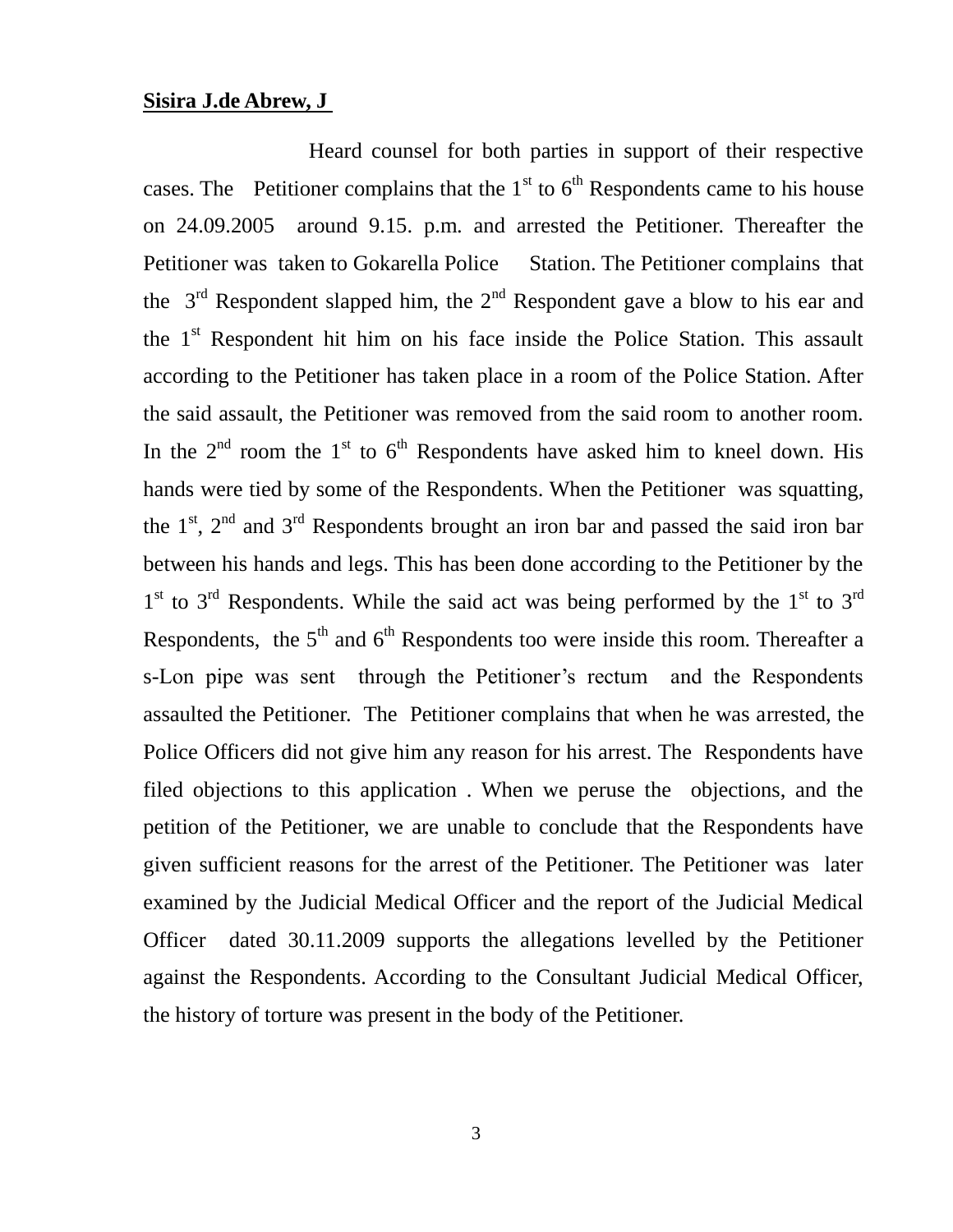#### **Sisira J.de Abrew, J**

Heard counsel for both parties in support of their respective cases. The Petitioner complains that the  $1<sup>st</sup>$  to  $6<sup>th</sup>$  Respondents came to his house on 24.09.2005 around 9.15. p.m. and arrested the Petitioner. Thereafter the Petitioner was taken to Gokarella Police Station. The Petitioner complains that the  $3<sup>rd</sup>$  Respondent slapped him, the  $2<sup>nd</sup>$  Respondent gave a blow to his ear and the 1<sup>st</sup> Respondent hit him on his face inside the Police Station. This assault according to the Petitioner has taken place in a room of the Police Station. After the said assault, the Petitioner was removed from the said room to another room. In the  $2<sup>nd</sup>$  room the  $1<sup>st</sup>$  to  $6<sup>th</sup>$  Respondents have asked him to kneel down. His hands were tied by some of the Respondents. When the Petitioner was squatting, the  $1<sup>st</sup>$ ,  $2<sup>nd</sup>$  and  $3<sup>rd</sup>$  Respondents brought an iron bar and passed the said iron bar between his hands and legs. This has been done according to the Petitioner by the  $1<sup>st</sup>$  to  $3<sup>rd</sup>$  Respondents. While the said act was being performed by the  $1<sup>st</sup>$  to  $3<sup>rd</sup>$ Respondents, the  $5<sup>th</sup>$  and  $6<sup>th</sup>$  Respondents too were inside this room. Thereafter a s-Lon pipe was sent through the Petitioner's rectum and the Respondents assaulted the Petitioner. The Petitioner complains that when he was arrested, the Police Officers did not give him any reason for his arrest. The Respondents have filed objections to this application . When we peruse the objections, and the petition of the Petitioner, we are unable to conclude that the Respondents have given sufficient reasons for the arrest of the Petitioner. The Petitioner was later examined by the Judicial Medical Officer and the report of the Judicial Medical Officer dated 30.11.2009 supports the allegations levelled by the Petitioner against the Respondents. According to the Consultant Judicial Medical Officer, the history of torture was present in the body of the Petitioner.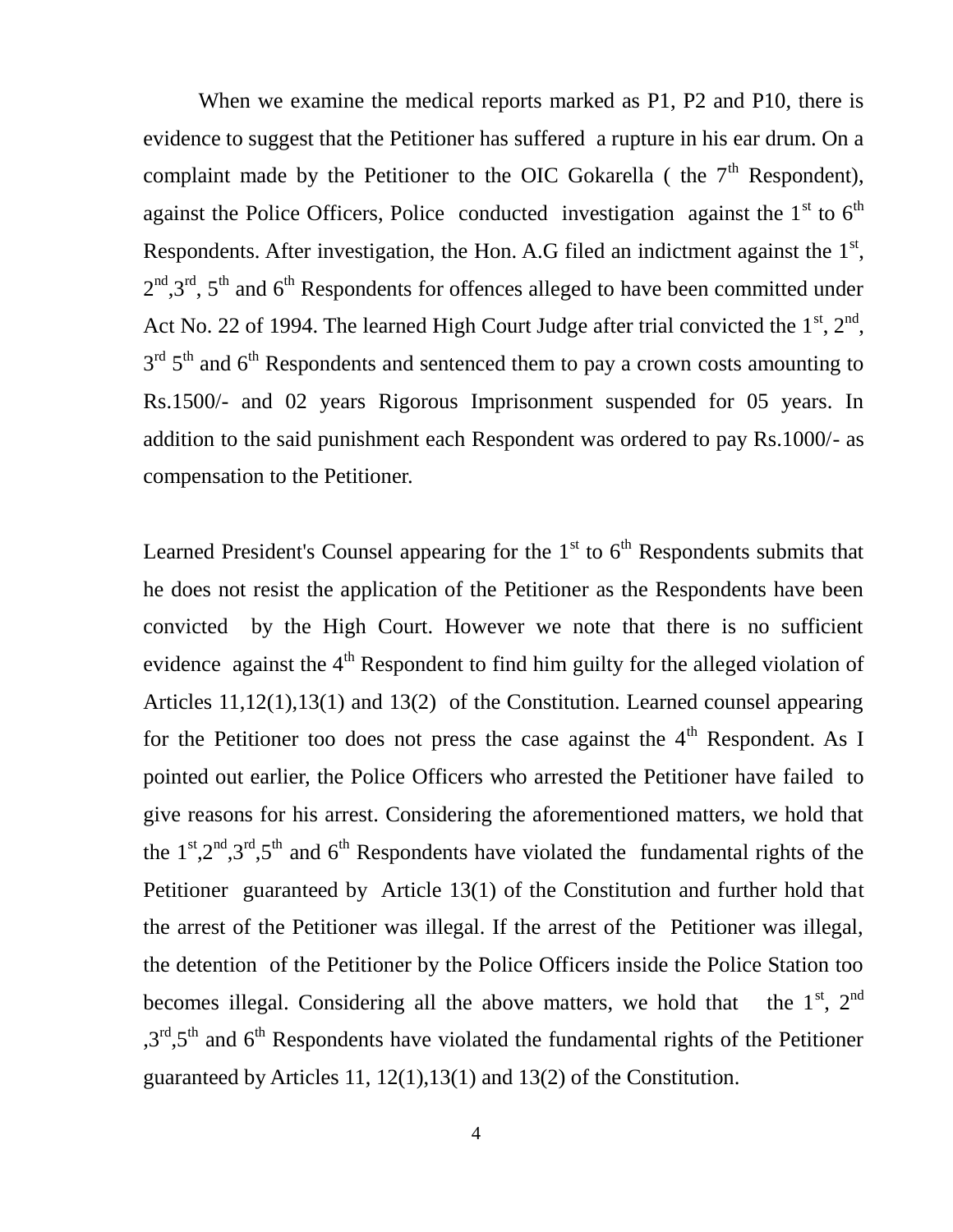When we examine the medical reports marked as P1, P2 and P10, there is evidence to suggest that the Petitioner has suffered a rupture in his ear drum. On a complaint made by the Petitioner to the OIC Gokarella (the  $7<sup>th</sup>$  Respondent), against the Police Officers, Police conducted investigation against the  $1<sup>st</sup>$  to  $6<sup>th</sup>$ Respondents. After investigation, the Hon. A.G filed an indictment against the  $1<sup>st</sup>$ ,  $2<sup>nd</sup>, 3<sup>rd</sup>$ ,  $5<sup>th</sup>$  and  $6<sup>th</sup>$  Respondents for offences alleged to have been committed under Act No. 22 of 1994. The learned High Court Judge after trial convicted the  $1<sup>st</sup>$ ,  $2<sup>nd</sup>$ ,  $3<sup>rd</sup> 5<sup>th</sup>$  and 6<sup>th</sup> Respondents and sentenced them to pay a crown costs amounting to Rs.1500/- and 02 years Rigorous Imprisonment suspended for 05 years. In addition to the said punishment each Respondent was ordered to pay Rs.1000/- as compensation to the Petitioner.

Learned President's Counsel appearing for the  $1<sup>st</sup>$  to  $6<sup>th</sup>$  Respondents submits that he does not resist the application of the Petitioner as the Respondents have been convicted by the High Court. However we note that there is no sufficient evidence against the  $4<sup>th</sup>$  Respondent to find him guilty for the alleged violation of Articles 11,12(1),13(1) and 13(2) of the Constitution. Learned counsel appearing for the Petitioner too does not press the case against the  $4<sup>th</sup>$  Respondent. As I pointed out earlier, the Police Officers who arrested the Petitioner have failed to give reasons for his arrest. Considering the aforementioned matters, we hold that the  $1^{st}$ ,  $2^{nd}$ ,  $3^{rd}$ ,  $5^{th}$  and  $6^{th}$  Respondents have violated the fundamental rights of the Petitioner guaranteed by Article 13(1) of the Constitution and further hold that the arrest of the Petitioner was illegal. If the arrest of the Petitioner was illegal, the detention of the Petitioner by the Police Officers inside the Police Station too becomes illegal. Considering all the above matters, we hold that the  $1<sup>st</sup>$ ,  $2<sup>nd</sup>$  $,3<sup>rd</sup>,5<sup>th</sup>$  and 6<sup>th</sup> Respondents have violated the fundamental rights of the Petitioner guaranteed by Articles 11, 12(1),13(1) and 13(2) of the Constitution.